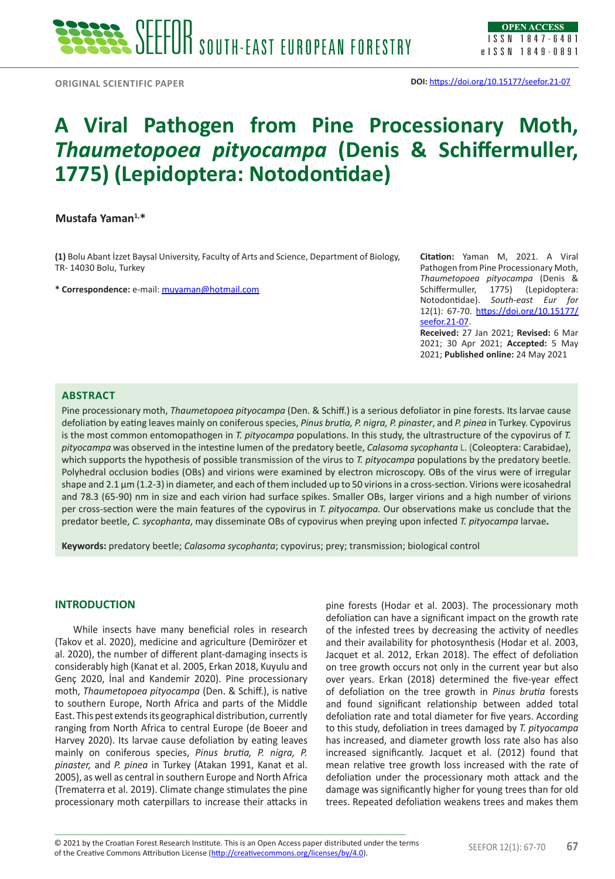# **A Viral Pathogen from Pine Processionary Moth,**  *Thaumetopoea pityocampa* **(Denis & Schiffermuller, 1775) (Lepidoptera: Notodontidae)**

## **Mustafa Yaman1,\***

**(1)** Bolu Abant İzzet Baysal University, Faculty of Arts and Science, Department of Biology, TR- 14030 Bolu, Turkey

**\* Correspondence:** e-mail: [muyaman@hotmail.com](mailto:muyaman@hotmail.com)

**Citation:** Yaman M, 2021. A Viral Pathogen from Pine Processionary Moth, *Thaumetopoea pityocampa* (Denis & Schiffermuller, 1775) (Lepidoptera: Notodontidae). *South-east Eur for* 12(1): 67-70. [https://doi.org/10.15177/](https://doi.org/10.15177/seefor.21-07) [seefor.21-07.](https://doi.org/10.15177/seefor.21-07)

**Received:** 27 Jan 2021; **Revised:** 6 Mar 2021; 30 Apr 2021; **Accepted:** 5 May 2021; **Published online:** 24 May 2021

### **ABSTRACT**

Pine processionary moth, *Thaumetopoea pityocampa* (Den. & Schiff.) is a serious defoliator in pine forests. Its larvae cause defoliation by eating leaves mainly on coniferous species, *Pinus brutia, P. nigra, P. pinaster*, and *P. pinea* in Turkey. Cypovirus is the most common entomopathogen in *T. pityocampa* populations. In this study, the ultrastructure of the cypovirus of *T. pityocampa* was observed in the intestine lumen of the predatory beetle, *Calasoma sycophanta* L. (Coleoptera: Carabidae), which supports the hypothesis of possible transmission of the virus to *T. pityocampa* populations by the predatory beetle*.*  Polyhedral occlusion bodies (OBs) and virions were examined by electron microscopy. OBs of the virus were of irregular shape and 2.1  $\mu$ m (1.2-3) in diameter, and each of them included up to 50 virions in a cross-section. Virions were icosahedral and 78.3 (65-90) nm in size and each virion had surface spikes. Smaller OBs, larger virions and a high number of virions per cross-section were the main features of the cypovirus in *T. pityocampa.* Our observations make us conclude that the predator beetle, *C. sycophanta*, may disseminate OBs of cypovirus when preying upon infected *T. pityocampa* larvae**.**

**Keywords:** predatory beetle; *Calasoma sycophanta*; cypovirus; prey; transmission; biological control

## **INTRODUCTION**

While insects have many beneficial roles in research (Takov et al. 2020), medicine and agriculture (Demirözer et al. 2020), the number of different plant-damaging insects is considerably high (Kanat et al. 2005, Erkan 2018, Kuyulu and Genç 2020, İnal and Kandemir 2020). Pine processionary moth, *Thaumetopoea pityocampa* (Den. & Schiff.), is native to southern Europe, North Africa and parts of the Middle East. This pest extends its geographical distribution, currently ranging from North Africa to central Europe (de Boeer and Harvey 2020). Its larvae cause defoliation by eating leaves mainly on coniferous species, *Pinus brutia, P. nigra, P. pinaster,* and *P. pinea* in Turkey (Atakan 1991, Kanat et al. 2005), as well as central in southern Europe and North Africa (Trematerra et al. 2019). Climate change stimulates the pine processionary moth caterpillars to increase their attacks in

pine forests (Hodar et al. 2003). The processionary moth defoliation can have a significant impact on the growth rate of the infested trees by decreasing the activity of needles and their availability for photosynthesis (Hodar et al. 2003, Jacquet et al. 2012, Erkan 2018). The effect of defoliation on tree growth occurs not only in the current year but also over years. Erkan (2018) determined the five-year effect of defoliation on the tree growth in *Pinus brutia* forests and found significant relationship between added total defoliation rate and total diameter for five years. According to this study, defoliation in trees damaged by *T. pityocampa* has increased, and diameter growth loss rate also has also increased significantly. Jacquet et al. (2012) found that mean relative tree growth loss increased with the rate of defoliation under the processionary moth attack and the damage was significantly higher for young trees than for old trees. Repeated defoliation weakens trees and makes them

<sup>© 2021</sup> by the Croatian Forest Research Institute. This is an Open Access paper distributed under the terms<br>of the Creative Commons Attribution License (<u><http://creativecommons.org/licenses/by/4.0></u>). © 2021 by the Croatian Forest Research Institute. This is an Open Access paper distributed under the terms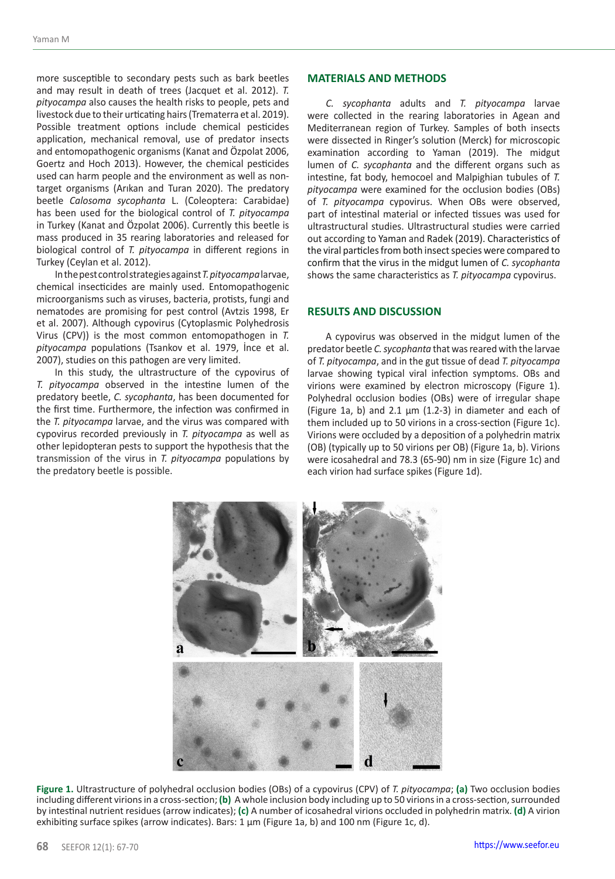more susceptible to secondary pests such as bark beetles and may result in death of trees (Jacquet et al. 2012). *T. pityocampa* also causes the health risks to people, pets and livestock due to their urticating hairs (Trematerra et al. 2019). Possible treatment options include chemical pesticides application, mechanical removal, use of predator insects and entomopathogenic organisms (Kanat and Özpolat 2006, Goertz and Hoch 2013). However, the chemical pesticides used can harm people and the environment as well as nontarget organisms (Arıkan and Turan 2020). The predatory beetle *Calosoma sycophanta* L. (Coleoptera: Carabidae) has been used for the biological control of *T. pityocampa*  in Turkey (Kanat and Özpolat 2006). Currently this beetle is mass produced in 35 rearing laboratories and released for biological control of *T. pityocampa* in different regions in Turkey (Ceylan et al. 2012).

In the pest control strategies against*T. pityocampa* larvae, chemical insecticides are mainly used. Entomopathogenic microorganisms such as viruses, bacteria, protists, fungi and nematodes are promising for pest control (Avtzis 1998, Er et al. 2007). Although cypovirus (Cytoplasmic Polyhedrosis Virus (CPV)) is the most common entomopathogen in *T. pityocampa* populations (Tsankov et al. 1979, İnce et al. 2007), studies on this pathogen are very limited.

In this study, the ultrastructure of the cypovirus of *T. pityocampa* observed in the intestine lumen of the predatory beetle, *C. sycophanta*, has been documented for the first time. Furthermore, the infection was confirmed in the *T. pityocampa* larvae, and the virus was compared with cypovirus recorded previously in *T. pityocampa* as well as other lepidopteran pests to support the hypothesis that the transmission of the virus in *T. pityocampa* populations by the predatory beetle is possible.

#### **MATERIALS AND METHODS**

*C. sycophanta* adults and *T. pityocampa* larvae were collected in the rearing laboratories in Agean and Mediterranean region of Turkey. Samples of both insects were dissected in Ringer's solution (Merck) for microscopic examination according to Yaman (2019). The midgut lumen of *C. sycophanta* and the different organs such as intestine, fat body, hemocoel and Malpighian tubules of *T. pityocampa* were examined for the occlusion bodies (OBs) of *T. pityocampa* cypovirus. When OBs were observed, part of intestinal material or infected tissues was used for ultrastructural studies. Ultrastructural studies were carried out according to Yaman and Radek (2019). Characteristics of the viral particles from both insect species were compared to confirm that the virus in the midgut lumen of *C. sycophanta*  shows the same characteristics as *T. pityocampa* cypovirus.

### **RESULTS AND DISCUSSION**

A cypovirus was observed in the midgut lumen of the predator beetle *C. sycophanta* that was reared with the larvae of *T. pityocampa*, and in the gut tissue of dead *T. pityocampa* larvae showing typical viral infection symptoms. OBs and virions were examined by electron microscopy (Figure 1). Polyhedral occlusion bodies (OBs) were of irregular shape (Figure 1a, b) and 2.1  $\mu$ m (1.2-3) in diameter and each of them included up to 50 virions in a cross-section (Figure 1c). Virions were occluded by a deposition of a polyhedrin matrix (OB) (typically up to 50 virions per OB) (Figure 1a, b). Virions were icosahedral and 78.3 (65-90) nm in size (Figure 1c) and each virion had surface spikes (Figure 1d).



**Figure 1.** Ultrastructure of polyhedral occlusion bodies (OBs) of a cypovirus (CPV) of *T. pityocampa*; **(a)** Two occlusion bodies including different virions in a cross-section; **(b)** A whole inclusion body including up to 50 virions in a cross-section, surrounded by intestinal nutrient residues (arrow indicates); **(c)** A number of icosahedral virions occluded in polyhedrin matrix. **(d)** A virion exhibiting surface spikes (arrow indicates). Bars: 1 μm (Figure 1a, b) and 100 nm (Figure 1c, d).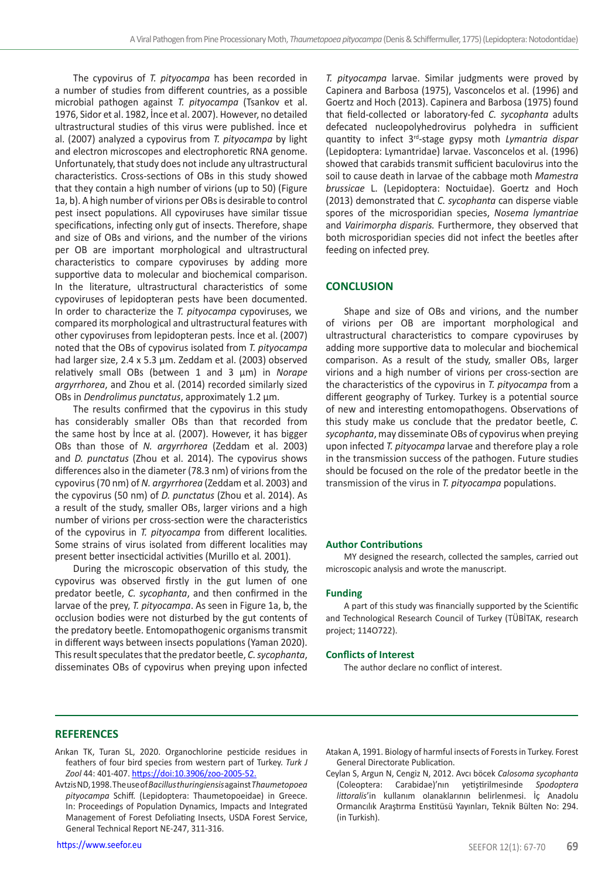The cypovirus of *T. pityocampa* has been recorded in a number of studies from different countries, as a possible microbial pathogen against *T. pityocampa* (Tsankov et al. 1976, Sidor et al. 1982, İnce et al. 2007). However, no detailed ultrastructural studies of this virus were published. İnce et al. (2007) analyzed a cypovirus from *T. pityocampa* by light and electron microscopes and electrophoretic RNA genome. Unfortunately, that study does not include any ultrastructural characteristics. Cross-sections of OBs in this study showed that they contain a high number of virions (up to 50) (Figure 1a, b). A high number of virions per OBs is desirable to control pest insect populations. All cypoviruses have similar tissue specifications, infecting only gut of insects. Therefore, shape and size of OBs and virions, and the number of the virions per OB are important morphological and ultrastructural characteristics to compare cypoviruses by adding more supportive data to molecular and biochemical comparison. In the literature, ultrastructural characteristics of some cypoviruses of lepidopteran pests have been documented. In order to characterize the *T. pityocampa* cypoviruses, we compared its morphological and ultrastructural features with other cypoviruses from lepidopteran pests. İnce et al. (2007) noted that the OBs of cypovirus isolated from *T. pityocampa*  had larger size, 2.4 x 5.3 um. Zeddam et al. (2003) observed relatively small OBs (between 1 and 3 µm) in *Norape argyrrhorea*, and Zhou et al. (2014) recorded similarly sized OBs in *Dendrolimus punctatus*, approximately 1.2 µm.

The results confirmed that the cypovirus in this study has considerably smaller OBs than that recorded from the same host by İnce at al. (2007). However, it has bigger OBs than those of *N. argyrrhorea* (Zeddam et al. 2003) and *D. punctatus* (Zhou et al. 2014). The cypovirus shows differences also in the diameter (78.3 nm) of virions from the cypovirus (70 nm) of *N. argyrrhorea* (Zeddam et al. 2003) and the cypovirus (50 nm) of *D. punctatus* (Zhou et al. 2014). As a result of the study, smaller OBs, larger virions and a high number of virions per cross-section were the characteristics of the cypovirus in *T. pityocampa* from different localities*.*  Some strains of virus isolated from different localities may present better insecticidal activities (Murillo et al*.* 2001).

During the microscopic observation of this study, the cypovirus was observed firstly in the gut lumen of one predator beetle, *C. sycophanta*, and then confirmed in the larvae of the prey, *T. pityocampa*. As seen in Figure 1a, b, the occlusion bodies were not disturbed by the gut contents of the predatory beetle. Entomopathogenic organisms transmit in different ways between insects populations (Yaman 2020). This result speculates that the predator beetle, *C. sycophanta*, disseminates OBs of cypovirus when preying upon infected

*T. pityocampa* larvae. Similar judgments were proved by Capinera and Barbosa (1975), Vasconcelos et al. (1996) and Goertz and Hoch (2013). Capinera and Barbosa (1975) found that field-collected or laboratory-fed *C. sycophanta* adults defecated nucleopolyhedrovirus polyhedra in sufficient quantity to infect 3rd-stage gypsy moth *Lymantria dispar* (Lepidoptera: Lymantridae) larvae. Vasconcelos et al. (1996) showed that carabids transmit sufficient baculovirus into the soil to cause death in larvae of the cabbage moth *Mamestra brussicae* L. (Lepidoptera: Noctuidae). Goertz and Hoch (2013) demonstrated that *C. sycophanta* can disperse viable spores of the microsporidian species, *Nosema lymantriae*  and *Vairimorpha disparis.* Furthermore, they observed that both microsporidian species did not infect the beetles after feeding on infected prey.

#### **CONCLUSION**

Shape and size of OBs and virions, and the number of virions per OB are important morphological and ultrastructural characteristics to compare cypoviruses by adding more supportive data to molecular and biochemical comparison. As a result of the study, smaller OBs, larger virions and a high number of virions per cross-section are the characteristics of the cypovirus in *T. pityocampa* from a different geography of Turkey*.* Turkey is a potential source of new and interesting entomopathogens. Observations of this study make us conclude that the predator beetle, *C. sycophanta*, may disseminate OBs of cypovirus when preying upon infected *T. pityocampa* larvae and therefore play a role in the transmission success of the pathogen. Future studies should be focused on the role of the predator beetle in the transmission of the virus in *T. pityocampa* populations.

#### **Author Contributions**

MY designed the research, collected the samples, carried out microscopic analysis and wrote the manuscript.

#### **Funding**

A part of this study was financially supported by the Scientific and Technological Research Council of Turkey (TÜBİTAK, research project; 114O722).

#### **Conflicts of Interest**

The author declare no conflict of interest.

#### **REFERENCES**

- Arıkan TK, Turan SL, 2020. Organochlorine pesticide residues in feathers of four bird species from western part of Turkey. *Turk J Zool* 44: 401-407. [https://doi:10.3906/zoo-2005-52.](https://doi:10.3906/zoo-2005-52)
- Avtzis ND, 1998. The use of *Bacillus thuringiensis* against *Thaumetopoea pityocampa* Schiff. (Lepidoptera: Thaumetopoeidae) in Greece. In: Proceedings of Population Dynamics, Impacts and Integrated Management of Forest Defoliating Insects, USDA Forest Service, General Technical Report NE-247, 311-316.

Atakan A, 1991. Biology of harmful insects of Forests in Turkey. Forest General Directorate Publication.

Ceylan S, Argun N, Cengiz N, 2012. Avcı böcek *Calosoma sycophanta* (Coleoptera: Carabidae)'nın yetiştirilmesinde *Spodoptera littoralis*'in kullanım olanaklarının belirlenmesi. İç Anadolu Ormancılık Araştırma Enstitüsü Yayınları, Teknik Bülten No: 294. (in Turkish).